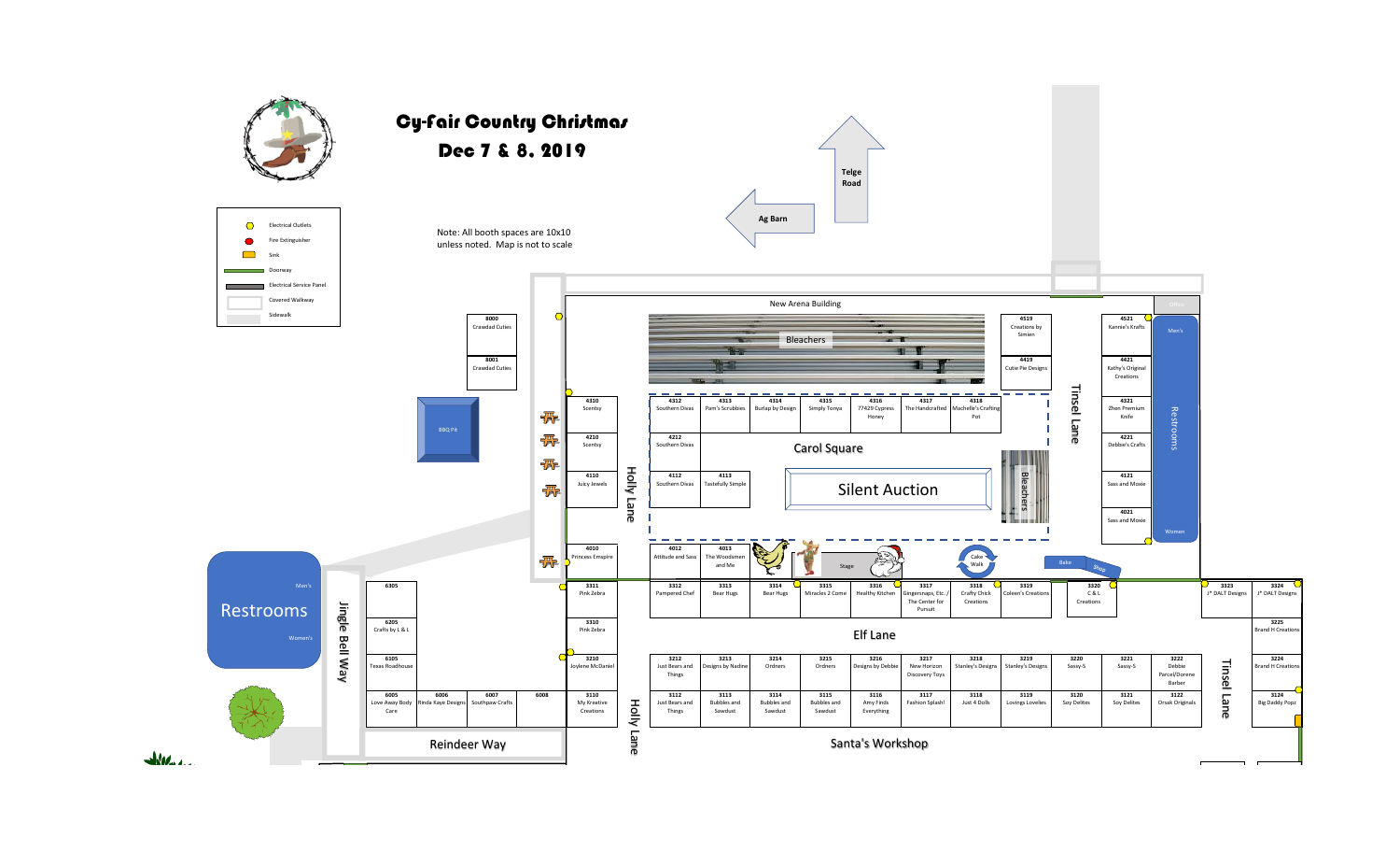